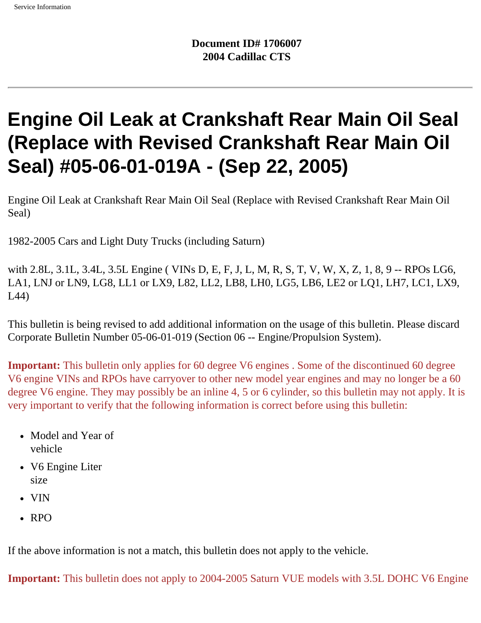# **Engine Oil Leak at Crankshaft Rear Main Oil Seal (Replace with Revised Crankshaft Rear Main Oil Seal) #05-06-01-019A - (Sep 22, 2005)**

Engine Oil Leak at Crankshaft Rear Main Oil Seal (Replace with Revised Crankshaft Rear Main Oil Seal)

1982-2005 Cars and Light Duty Trucks (including Saturn)

with 2.8L, 3.1L, 3.4L, 3.5L Engine ( VINs D, E, F, J, L, M, R, S, T, V, W, X, Z, 1, 8, 9 -- RPOs LG6, LA1, LNJ or LN9, LG8, LL1 or LX9, L82, LL2, LB8, LH0, LG5, LB6, LE2 or LQ1, LH7, LC1, LX9, L44)

This bulletin is being revised to add additional information on the usage of this bulletin. Please discard Corporate Bulletin Number 05-06-01-019 (Section 06 -- Engine/Propulsion System).

**Important:** This bulletin only applies for 60 degree V6 engines. Some of the discontinued 60 degree V6 engine VINs and RPOs have carryover to other new model year engines and may no longer be a 60 degree V6 engine. They may possibly be an inline 4, 5 or 6 cylinder, so this bulletin may not apply. It is very important to verify that the following information is correct before using this bulletin:

- Model and Year of vehicle
- V6 Engine Liter size
- VIN
- RPO

If the above information is not a match, this bulletin does not apply to the vehicle.

**Important:** This bulletin does not apply to 2004-2005 Saturn VUE models with 3.5L DOHC V6 Engine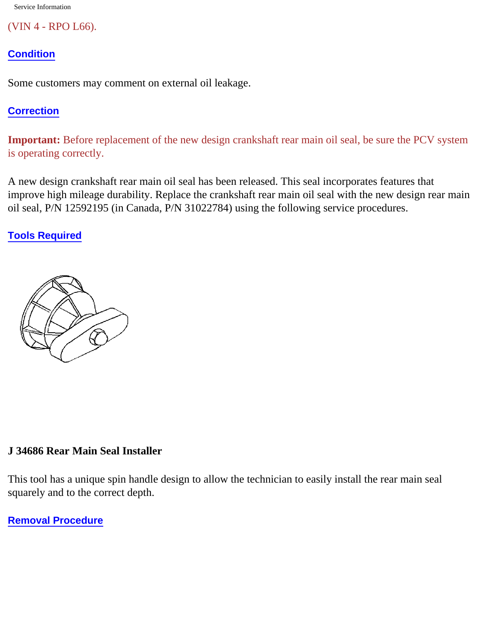Service Information

(VIN 4 - RPO L66).

## **Condition**

Some customers may comment on external oil leakage.

## **Correction**

**Important:** Before replacement of the new design crankshaft rear main oil seal, be sure the PCV system is operating correctly.

A new design crankshaft rear main oil seal has been released. This seal incorporates features that improve high mileage durability. Replace the crankshaft rear main oil seal with the new design rear main oil seal, P/N 12592195 (in Canada, P/N 31022784) using the following service procedures.

**Tools Required**



### **J 34686 Rear Main Seal Installer**

This tool has a unique spin handle design to allow the technician to easily install the rear main seal squarely and to the correct depth.

**Removal Procedure**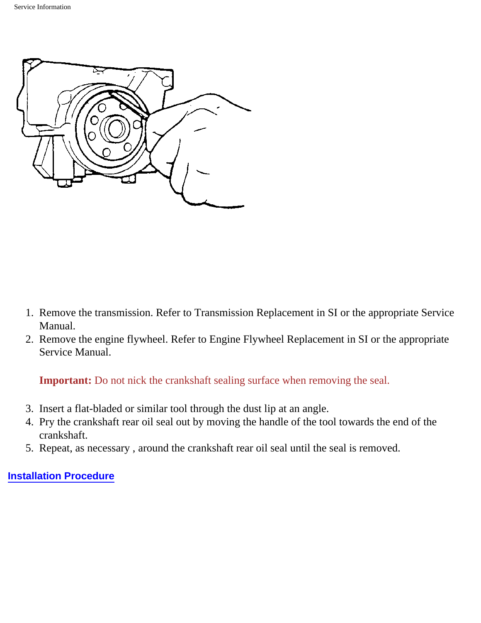

- 1. Remove the transmission. Refer to Transmission Replacement in SI or the appropriate Service Manual.
- 2. Remove the engine flywheel. Refer to Engine Flywheel Replacement in SI or the appropriate Service Manual.

**Important:** Do not nick the crankshaft sealing surface when removing the seal.

- 3. Insert a flat-bladed or similar tool through the dust lip at an angle.
- 4. Pry the crankshaft rear oil seal out by moving the handle of the tool towards the end of the crankshaft.
- 5. Repeat, as necessary , around the crankshaft rear oil seal until the seal is removed.

#### **Installation Procedure**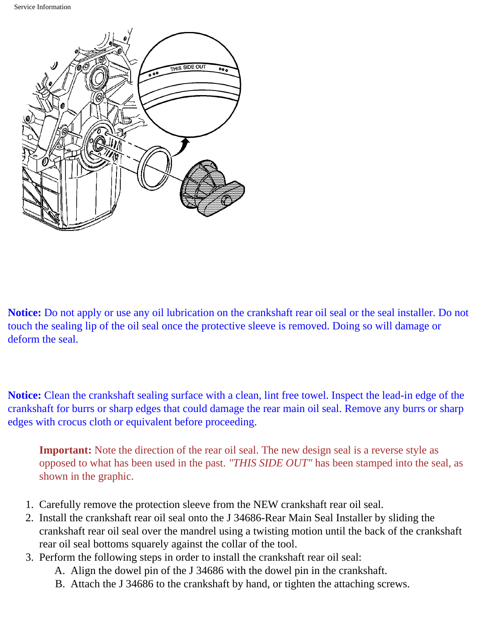

**Notice:** Do not apply or use any oil lubrication on the crankshaft rear oil seal or the seal installer. Do not touch the sealing lip of the oil seal once the protective sleeve is removed. Doing so will damage or deform the seal.

**Notice:** Clean the crankshaft sealing surface with a clean, lint free towel. Inspect the lead-in edge of the crankshaft for burrs or sharp edges that could damage the rear main oil seal. Remove any burrs or sharp edges with crocus cloth or equivalent before proceeding.

**Important:** Note the direction of the rear oil seal. The new design seal is a reverse style as opposed to what has been used in the past. *"THIS SIDE OUT"* has been stamped into the seal, as shown in the graphic.

- 1. Carefully remove the protection sleeve from the NEW crankshaft rear oil seal.
- 2. Install the crankshaft rear oil seal onto the J 34686-Rear Main Seal Installer by sliding the crankshaft rear oil seal over the mandrel using a twisting motion until the back of the crankshaft rear oil seal bottoms squarely against the collar of the tool.
- 3. Perform the following steps in order to install the crankshaft rear oil seal:
	- A. Align the dowel pin of the J 34686 with the dowel pin in the crankshaft.
	- B. Attach the J 34686 to the crankshaft by hand, or tighten the attaching screws.